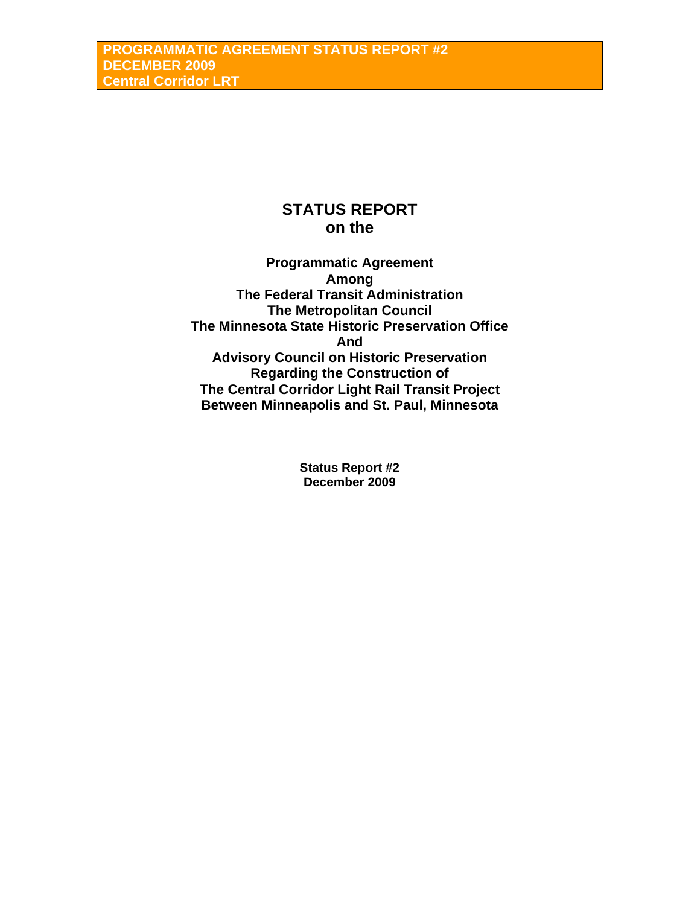# **STATUS REPORT on the**

**Programmatic Agreement Among The Federal Transit Administration The Metropolitan Council The Minnesota State Historic Preservation Office And Advisory Council on Historic Preservation Regarding the Construction of The Central Corridor Light Rail Transit Project Between Minneapolis and St. Paul, Minnesota** 

> **Status Report #2 December 2009**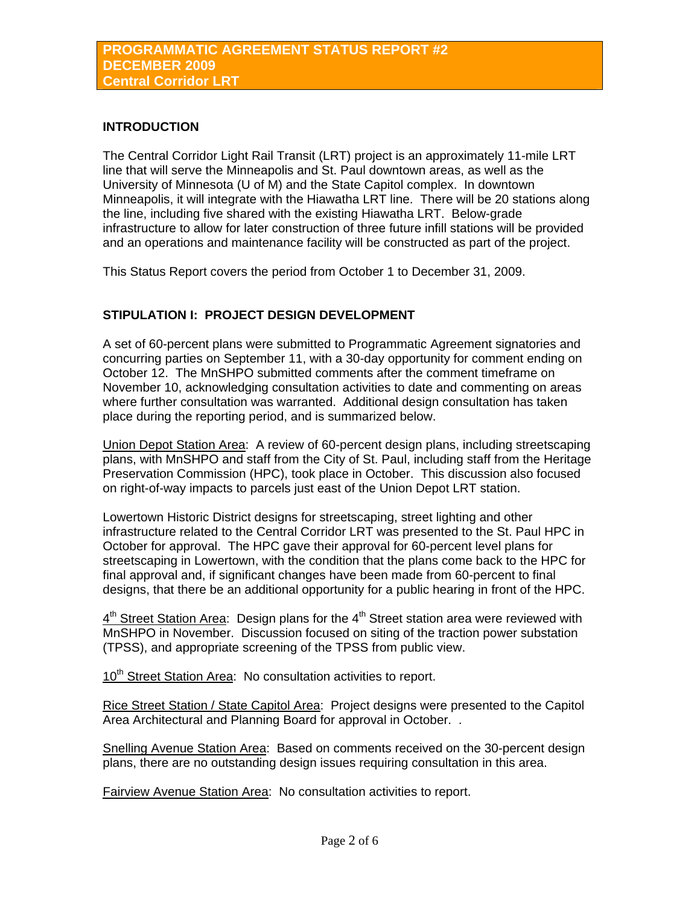## **INTRODUCTION**

The Central Corridor Light Rail Transit (LRT) project is an approximately 11-mile LRT line that will serve the Minneapolis and St. Paul downtown areas, as well as the University of Minnesota (U of M) and the State Capitol complex. In downtown Minneapolis, it will integrate with the Hiawatha LRT line. There will be 20 stations along the line, including five shared with the existing Hiawatha LRT. Below-grade infrastructure to allow for later construction of three future infill stations will be provided and an operations and maintenance facility will be constructed as part of the project.

This Status Report covers the period from October 1 to December 31, 2009.

# **STIPULATION I: PROJECT DESIGN DEVELOPMENT**

A set of 60-percent plans were submitted to Programmatic Agreement signatories and concurring parties on September 11, with a 30-day opportunity for comment ending on October 12. The MnSHPO submitted comments after the comment timeframe on November 10, acknowledging consultation activities to date and commenting on areas where further consultation was warranted. Additional design consultation has taken place during the reporting period, and is summarized below.

Union Depot Station Area: A review of 60-percent design plans, including streetscaping plans, with MnSHPO and staff from the City of St. Paul, including staff from the Heritage Preservation Commission (HPC), took place in October. This discussion also focused on right-of-way impacts to parcels just east of the Union Depot LRT station.

Lowertown Historic District designs for streetscaping, street lighting and other infrastructure related to the Central Corridor LRT was presented to the St. Paul HPC in October for approval. The HPC gave their approval for 60-percent level plans for streetscaping in Lowertown, with the condition that the plans come back to the HPC for final approval and, if significant changes have been made from 60-percent to final designs, that there be an additional opportunity for a public hearing in front of the HPC.

 $4<sup>th</sup>$  Street Station Area: Design plans for the  $4<sup>th</sup>$  Street station area were reviewed with MnSHPO in November. Discussion focused on siting of the traction power substation (TPSS), and appropriate screening of the TPSS from public view.

10<sup>th</sup> Street Station Area: No consultation activities to report.

Rice Street Station / State Capitol Area: Project designs were presented to the Capitol Area Architectural and Planning Board for approval in October. .

Snelling Avenue Station Area: Based on comments received on the 30-percent design plans, there are no outstanding design issues requiring consultation in this area.

Fairview Avenue Station Area: No consultation activities to report.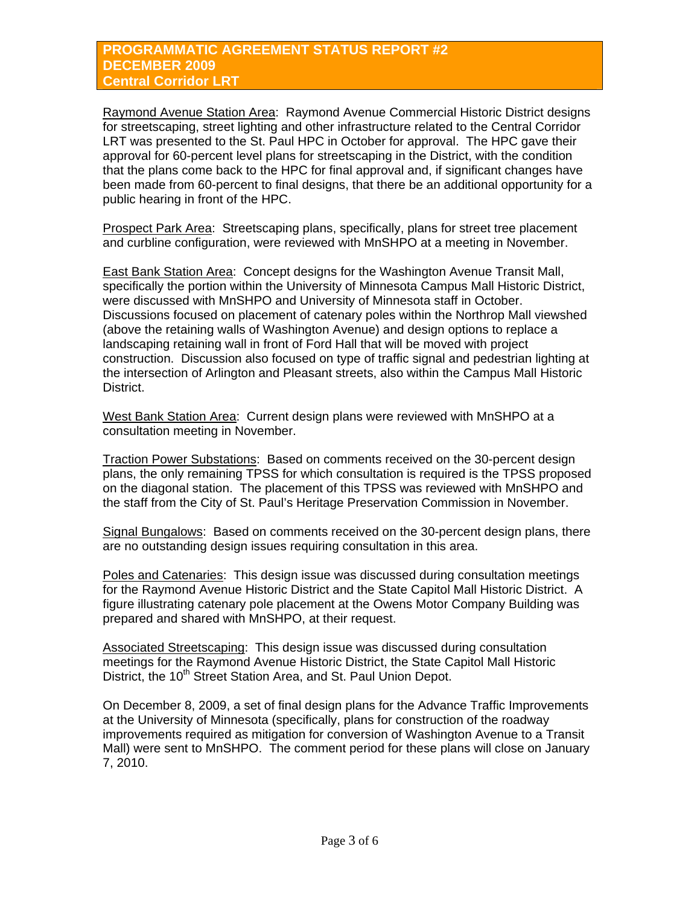Raymond Avenue Station Area: Raymond Avenue Commercial Historic District designs for streetscaping, street lighting and other infrastructure related to the Central Corridor LRT was presented to the St. Paul HPC in October for approval. The HPC gave their approval for 60-percent level plans for streetscaping in the District, with the condition that the plans come back to the HPC for final approval and, if significant changes have been made from 60-percent to final designs, that there be an additional opportunity for a public hearing in front of the HPC.

Prospect Park Area: Streetscaping plans, specifically, plans for street tree placement and curbline configuration, were reviewed with MnSHPO at a meeting in November.

East Bank Station Area: Concept designs for the Washington Avenue Transit Mall, specifically the portion within the University of Minnesota Campus Mall Historic District, were discussed with MnSHPO and University of Minnesota staff in October. Discussions focused on placement of catenary poles within the Northrop Mall viewshed (above the retaining walls of Washington Avenue) and design options to replace a landscaping retaining wall in front of Ford Hall that will be moved with project construction. Discussion also focused on type of traffic signal and pedestrian lighting at the intersection of Arlington and Pleasant streets, also within the Campus Mall Historic District.

West Bank Station Area: Current design plans were reviewed with MnSHPO at a consultation meeting in November.

Traction Power Substations: Based on comments received on the 30-percent design plans, the only remaining TPSS for which consultation is required is the TPSS proposed on the diagonal station. The placement of this TPSS was reviewed with MnSHPO and the staff from the City of St. Paul's Heritage Preservation Commission in November.

Signal Bungalows: Based on comments received on the 30-percent design plans, there are no outstanding design issues requiring consultation in this area.

Poles and Catenaries: This design issue was discussed during consultation meetings for the Raymond Avenue Historic District and the State Capitol Mall Historic District. A figure illustrating catenary pole placement at the Owens Motor Company Building was prepared and shared with MnSHPO, at their request.

Associated Streetscaping: This design issue was discussed during consultation meetings for the Raymond Avenue Historic District, the State Capitol Mall Historic District, the 10<sup>th</sup> Street Station Area, and St. Paul Union Depot.

On December 8, 2009, a set of final design plans for the Advance Traffic Improvements at the University of Minnesota (specifically, plans for construction of the roadway improvements required as mitigation for conversion of Washington Avenue to a Transit Mall) were sent to MnSHPO. The comment period for these plans will close on January 7, 2010.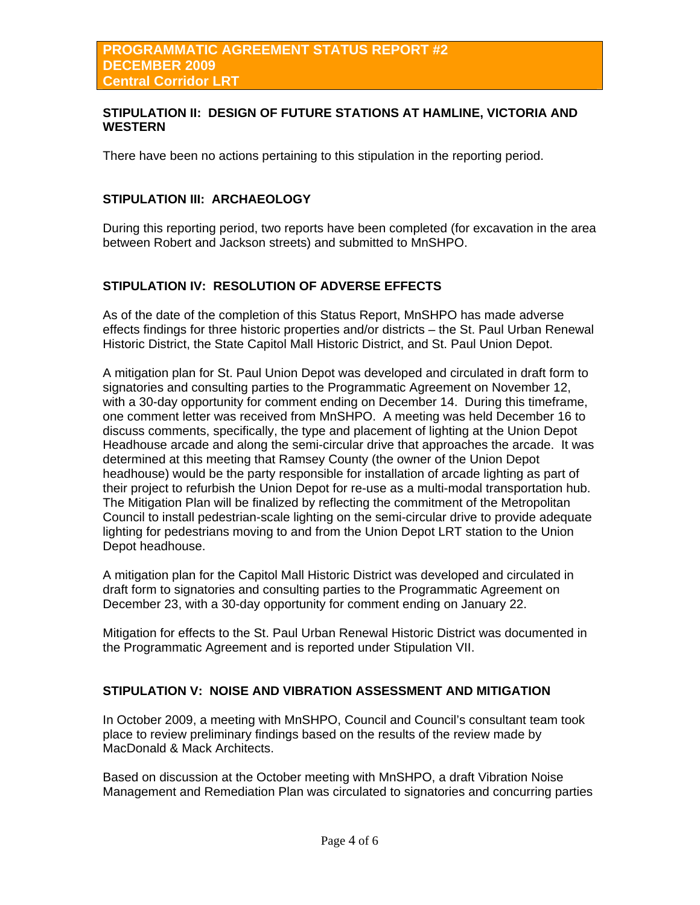#### **STIPULATION II: DESIGN OF FUTURE STATIONS AT HAMLINE, VICTORIA AND WESTERN**

There have been no actions pertaining to this stipulation in the reporting period.

## **STIPULATION III: ARCHAEOLOGY**

During this reporting period, two reports have been completed (for excavation in the area between Robert and Jackson streets) and submitted to MnSHPO.

# **STIPULATION IV: RESOLUTION OF ADVERSE EFFECTS**

As of the date of the completion of this Status Report, MnSHPO has made adverse effects findings for three historic properties and/or districts – the St. Paul Urban Renewal Historic District, the State Capitol Mall Historic District, and St. Paul Union Depot.

A mitigation plan for St. Paul Union Depot was developed and circulated in draft form to signatories and consulting parties to the Programmatic Agreement on November 12, with a 30-day opportunity for comment ending on December 14. During this timeframe, one comment letter was received from MnSHPO. A meeting was held December 16 to discuss comments, specifically, the type and placement of lighting at the Union Depot Headhouse arcade and along the semi-circular drive that approaches the arcade. It was determined at this meeting that Ramsey County (the owner of the Union Depot headhouse) would be the party responsible for installation of arcade lighting as part of their project to refurbish the Union Depot for re-use as a multi-modal transportation hub. The Mitigation Plan will be finalized by reflecting the commitment of the Metropolitan Council to install pedestrian-scale lighting on the semi-circular drive to provide adequate lighting for pedestrians moving to and from the Union Depot LRT station to the Union Depot headhouse.

A mitigation plan for the Capitol Mall Historic District was developed and circulated in draft form to signatories and consulting parties to the Programmatic Agreement on December 23, with a 30-day opportunity for comment ending on January 22.

Mitigation for effects to the St. Paul Urban Renewal Historic District was documented in the Programmatic Agreement and is reported under Stipulation VII.

## **STIPULATION V: NOISE AND VIBRATION ASSESSMENT AND MITIGATION**

In October 2009, a meeting with MnSHPO, Council and Council's consultant team took place to review preliminary findings based on the results of the review made by MacDonald & Mack Architects.

Based on discussion at the October meeting with MnSHPO, a draft Vibration Noise Management and Remediation Plan was circulated to signatories and concurring parties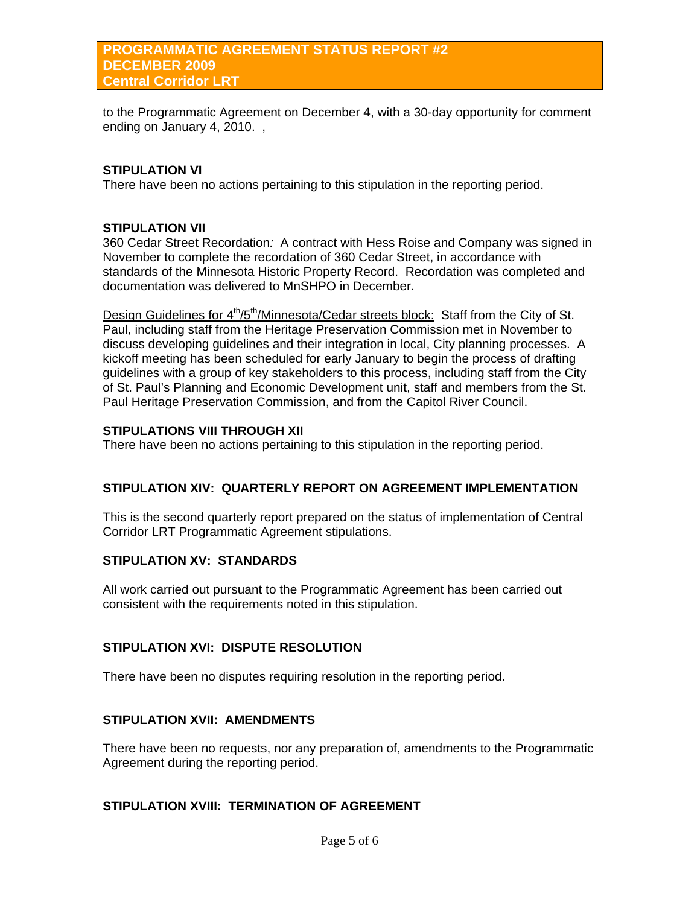#### **PROGRAMMATIC AGREEMENT STATUS REPORT #2 DECEMBER 2009 Central Corridor LRT**

to the Programmatic Agreement on December 4, with a 30-day opportunity for comment ending on January 4, 2010. ,

## **STIPULATION VI**

There have been no actions pertaining to this stipulation in the reporting period.

#### **STIPULATION VII**

360 Cedar Street Recordation*:* A contract with Hess Roise and Company was signed in November to complete the recordation of 360 Cedar Street, in accordance with standards of the Minnesota Historic Property Record. Recordation was completed and documentation was delivered to MnSHPO in December.

Design Guidelines for 4<sup>th</sup>/5<sup>th</sup>/Minnesota/Cedar streets block: Staff from the City of St. Paul, including staff from the Heritage Preservation Commission met in November to discuss developing guidelines and their integration in local, City planning processes. A kickoff meeting has been scheduled for early January to begin the process of drafting guidelines with a group of key stakeholders to this process, including staff from the City of St. Paul's Planning and Economic Development unit, staff and members from the St. Paul Heritage Preservation Commission, and from the Capitol River Council.

#### **STIPULATIONS VIII THROUGH XII**

There have been no actions pertaining to this stipulation in the reporting period.

#### **STIPULATION XIV: QUARTERLY REPORT ON AGREEMENT IMPLEMENTATION**

This is the second quarterly report prepared on the status of implementation of Central Corridor LRT Programmatic Agreement stipulations.

#### **STIPULATION XV: STANDARDS**

All work carried out pursuant to the Programmatic Agreement has been carried out consistent with the requirements noted in this stipulation.

## **STIPULATION XVI: DISPUTE RESOLUTION**

There have been no disputes requiring resolution in the reporting period.

## **STIPULATION XVII: AMENDMENTS**

There have been no requests, nor any preparation of, amendments to the Programmatic Agreement during the reporting period.

#### **STIPULATION XVIII: TERMINATION OF AGREEMENT**